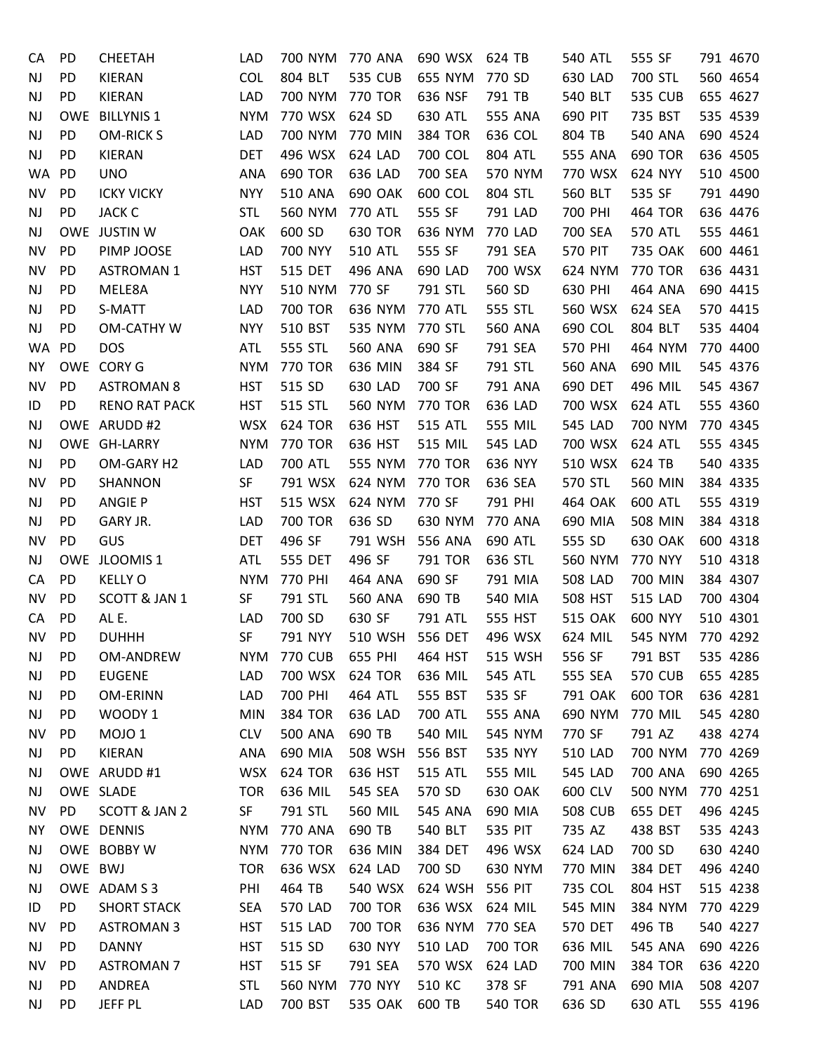| CA        | <b>PD</b>  | <b>CHEETAH</b>       | LAD        | 700 NYM         | 770 ANA        | 690 WSX        | 624 TB         | <b>540 ATL</b> | 555 SF         | 791 4670             |
|-----------|------------|----------------------|------------|-----------------|----------------|----------------|----------------|----------------|----------------|----------------------|
| <b>NJ</b> | <b>PD</b>  | KIERAN               | <b>COL</b> | 804 BLT         | <b>535 CUB</b> | 655 NYM        | 770 SD         | 630 LAD        | 700 STL        | 560 4654             |
| NJ        | PD         | KIERAN               | LAD        | 700 NYM 770 TOR |                | 636 NSF        | 791 TB         | 540 BLT        | <b>535 CUB</b> | 655 4627             |
| <b>NJ</b> | <b>OWE</b> | <b>BILLYNIS 1</b>    | <b>NYM</b> | 770 WSX         | 624 SD         | 630 ATL        | 555 ANA        | 690 PIT        | 735 BST        | 535 4539             |
| <b>NJ</b> | PD         | <b>OM-RICK S</b>     | LAD        | 700 NYM         | 770 MIN        | 384 TOR        | 636 COL        | 804 TB         | <b>540 ANA</b> | 690 4524             |
| <b>NJ</b> | PD         | <b>KIERAN</b>        | <b>DET</b> | 496 WSX         | 624 LAD        | 700 COL        | 804 ATL        | 555 ANA        | <b>690 TOR</b> | 636 4505             |
| <b>WA</b> | PD         | <b>UNO</b>           | <b>ANA</b> | <b>690 TOR</b>  | 636 LAD        | 700 SEA        | 570 NYM        | 770 WSX        | 624 NYY        | 510 4500             |
| NV        | <b>PD</b>  | <b>ICKY VICKY</b>    | <b>NYY</b> | <b>510 ANA</b>  | 690 OAK        | 600 COL        | 804 STL        | 560 BLT        | 535 SF         | 791 4490             |
| <b>NJ</b> | PD         | <b>JACK C</b>        | <b>STL</b> | 560 NYM         | <b>770 ATL</b> | 555 SF         | 791 LAD        | 700 PHI        | <b>464 TOR</b> | 636 4476             |
| <b>NJ</b> |            | OWE JUSTIN W         | OAK        | 600 SD          | <b>630 TOR</b> | 636 NYM        | 770 LAD        | 700 SEA        | 570 ATL        | 555 4461             |
| NV        | PD         | PIMP JOOSE           | <b>LAD</b> | 700 NYY         | <b>510 ATL</b> | 555 SF         | 791 SEA        | <b>570 PIT</b> | 735 OAK        | 600 4461             |
| NV        | <b>PD</b>  | <b>ASTROMAN 1</b>    | <b>HST</b> | <b>515 DET</b>  | 496 ANA        | 690 LAD        | 700 WSX        | 624 NYM        | <b>770 TOR</b> | 636 4431             |
| NJ        | <b>PD</b>  | MELE8A               | <b>NYY</b> | 510 NYM         | 770 SF         | 791 STL        | 560 SD         | 630 PHI        | 464 ANA        | 690 4415             |
| <b>NJ</b> | <b>PD</b>  | S-MATT               | <b>LAD</b> | <b>700 TOR</b>  | 636 NYM        | <b>770 ATL</b> | 555 STL        | 560 WSX        | 624 SEA        | 570 4415             |
| <b>NJ</b> | <b>PD</b>  | OM-CATHY W           | <b>NYY</b> | 510 BST         | 535 NYM        | 770 STL        | <b>560 ANA</b> | 690 COL        | 804 BLT        | 535 4404             |
| WA        | PD         | <b>DOS</b>           | <b>ATL</b> | 555 STL         | 560 ANA        | 690 SF         | 791 SEA        | 570 PHI        | 464 NYM        | 770 4400             |
| ΝY        |            | OWE CORY G           | <b>NYM</b> | 770 TOR         | 636 MIN        | 384 SF         | 791 STL        | 560 ANA        | 690 MIL        | 545 4376             |
| NV        | PD         | <b>ASTROMAN 8</b>    | <b>HST</b> | 515 SD          | 630 LAD        | 700 SF         | 791 ANA        | 690 DET        | 496 MIL        | 545 4367             |
| ID        | PD         | <b>RENO RAT PACK</b> | <b>HST</b> | <b>515 STL</b>  | 560 NYM        | <b>770 TOR</b> | 636 LAD        | 700 WSX        | 624 ATL        | 555 4360             |
| <b>NJ</b> |            | OWE ARUDD #2         | <b>WSX</b> | <b>624 TOR</b>  | 636 HST        | <b>515 ATL</b> | 555 MIL        | <b>545 LAD</b> | 700 NYM        | 770 4345             |
| <b>NJ</b> |            | OWE GH-LARRY         | <b>NYM</b> | 770 TOR         | 636 HST        | 515 MIL        | 545 LAD        | 700 WSX        | 624 ATL        | 555 4345             |
| NJ        | PD         | OM-GARY H2           | LAD        | 700 ATL         | 555 NYM        | 770 TOR        | 636 NYY        | 510 WSX        | 624 TB         | 540 4335             |
| NV        | <b>PD</b>  | SHANNON              | SF         | 791 WSX         | 624 NYM        | <b>770 TOR</b> | 636 SEA        | 570 STL        | 560 MIN        | 384 4335             |
| <b>NJ</b> | PD         | <b>ANGIE P</b>       | <b>HST</b> | 515 WSX         | 624 NYM        | 770 SF         | 791 PHI        | 464 OAK        | 600 ATL        | 555 4319             |
| <b>NJ</b> | PD         | GARY JR.             | <b>LAD</b> | <b>700 TOR</b>  | 636 SD         | 630 NYM        | 770 ANA        | 690 MIA        | <b>508 MIN</b> | 384 4318             |
| NV        | <b>PD</b>  | GUS                  | <b>DET</b> | 496 SF          | 791 WSH        | 556 ANA        | 690 ATL        | 555 SD         | <b>630 OAK</b> | 600 4318             |
| <b>NJ</b> |            | OWE JLOOMIS 1        | <b>ATL</b> | 555 DET         | 496 SF         | 791 TOR        | 636 STL        | 560 NYM        | 770 NYY        | 510 4318             |
| CA        | PD         | <b>KELLY O</b>       | <b>NYM</b> | 770 PHI         | 464 ANA        | 690 SF         | 791 MIA        | <b>508 LAD</b> | 700 MIN        | 384 4307             |
| <b>NV</b> | <b>PD</b>  | SCOTT & JAN 1        | SF         | 791 STL         | 560 ANA        | 690 TB         | 540 MIA        | 508 HST        | <b>515 LAD</b> | 700 4304             |
| CA        | PD         | AL E.                | <b>LAD</b> | 700 SD          | 630 SF         | 791 ATL        | 555 HST        | <b>515 OAK</b> | 600 NYY        | 510 4301             |
| ΝV        | PD         | <b>DUHHH</b>         | <b>SF</b>  | 791 NYY         | 510 WSH        | 556 DET        | 496 WSX        | 624 MIL        | 545 NYM        | 770 4292             |
| NJ        | PD         | OM-ANDREW            | <b>NYM</b> | <b>770 CUB</b>  | 655 PHI        | 464 HST        | 515 WSH        | 556 SF         | 791 BST        | 535 4286             |
| <b>NJ</b> | <b>PD</b>  | <b>EUGENE</b>        | LAD        | 700 WSX         | <b>624 TOR</b> | 636 MIL        | 545 ATL        | 555 SEA        | <b>570 CUB</b> | 655 4285             |
| NJ        | PD         | OM-ERINN             | LAD        | 700 PHI         | 464 ATL        | 555 BST        | 535 SF         | 791 OAK        | <b>600 TOR</b> | 636 4281             |
| <b>NJ</b> | <b>PD</b>  | WOODY 1              | <b>MIN</b> | 384 TOR         | 636 LAD        | 700 ATL        | 555 ANA        | 690 NYM        | 770 MIL        | 545 4280             |
| <b>NV</b> | PD.        | MOJO <sub>1</sub>    | <b>CLV</b> | <b>500 ANA</b>  | 690 TB         | 540 MIL        | 545 NYM        | 770 SF         | 791 AZ         | 438 4274             |
| <b>NJ</b> | <b>PD</b>  | KIERAN               | <b>ANA</b> | 690 MIA         | 508 WSH        | 556 BST        | 535 NYY        | <b>510 LAD</b> | 700 NYM        | 770 4269             |
| <b>NJ</b> |            | OWE ARUDD #1         | <b>WSX</b> | 624 TOR         | 636 HST        | <b>515 ATL</b> | 555 MIL        | <b>545 LAD</b> | 700 ANA        | 690 4265             |
| NJ        |            | OWE SLADE            | <b>TOR</b> | 636 MIL         | 545 SEA        | 570 SD         | <b>630 OAK</b> | 600 CLV        | 500 NYM        | 770 4251             |
|           | <b>PD</b>  | SCOTT & JAN 2        | SF         | 791 STL         | 560 MIL        | 545 ANA        | 690 MIA        | <b>508 CUB</b> | 655 DET        |                      |
| <b>NV</b> |            | OWE DENNIS           | <b>NYM</b> | 770 ANA         | 690 TB         | 540 BLT        | 535 PIT        | 735 AZ         | 438 BST        | 496 4245<br>535 4243 |
| ΝY        |            |                      |            |                 |                |                |                |                |                |                      |
| <b>NJ</b> |            | OWE BOBBY W          | <b>NYM</b> | 770 TOR         | 636 MIN        | 384 DET        | 496 WSX        | 624 LAD        | 700 SD         | 630 4240             |
| <b>NJ</b> | OWE BWJ    |                      | <b>TOR</b> | 636 WSX         | 624 LAD        | 700 SD         | 630 NYM        | 770 MIN        | 384 DET        | 496 4240             |
| NJ        |            | OWE ADAM S 3         | PHI        | 464 TB          | 540 WSX        | 624 WSH        | 556 PIT        | 735 COL        | 804 HST        | 515 4238             |
| ID        | PD         | <b>SHORT STACK</b>   | <b>SEA</b> | <b>570 LAD</b>  | 700 TOR        | 636 WSX        | 624 MIL        | 545 MIN        | 384 NYM        | 770 4229             |
| NV.       | PD.        | <b>ASTROMAN 3</b>    | <b>HST</b> | <b>515 LAD</b>  | 700 TOR        | 636 NYM        | 770 SEA        | 570 DET        | 496 TB         | 540 4227             |
| <b>NJ</b> | PD         | <b>DANNY</b>         | <b>HST</b> | 515 SD          | 630 NYY        | <b>510 LAD</b> | <b>700 TOR</b> | 636 MIL        | 545 ANA        | 690 4226             |
| NV        | <b>PD</b>  | <b>ASTROMAN 7</b>    | <b>HST</b> | 515 SF          | 791 SEA        | 570 WSX        | 624 LAD        | 700 MIN        | <b>384 TOR</b> | 636 4220             |
| <b>NJ</b> | <b>PD</b>  | ANDREA               | <b>STL</b> | 560 NYM         | 770 NYY        | 510 KC         | 378 SF         | 791 ANA        | 690 MIA        | 508 4207             |
| <b>NJ</b> | PD         | JEFF PL              | <b>LAD</b> | 700 BST         | 535 OAK        | 600 TB         | <b>540 TOR</b> | 636 SD         | 630 ATL        | 555 4196             |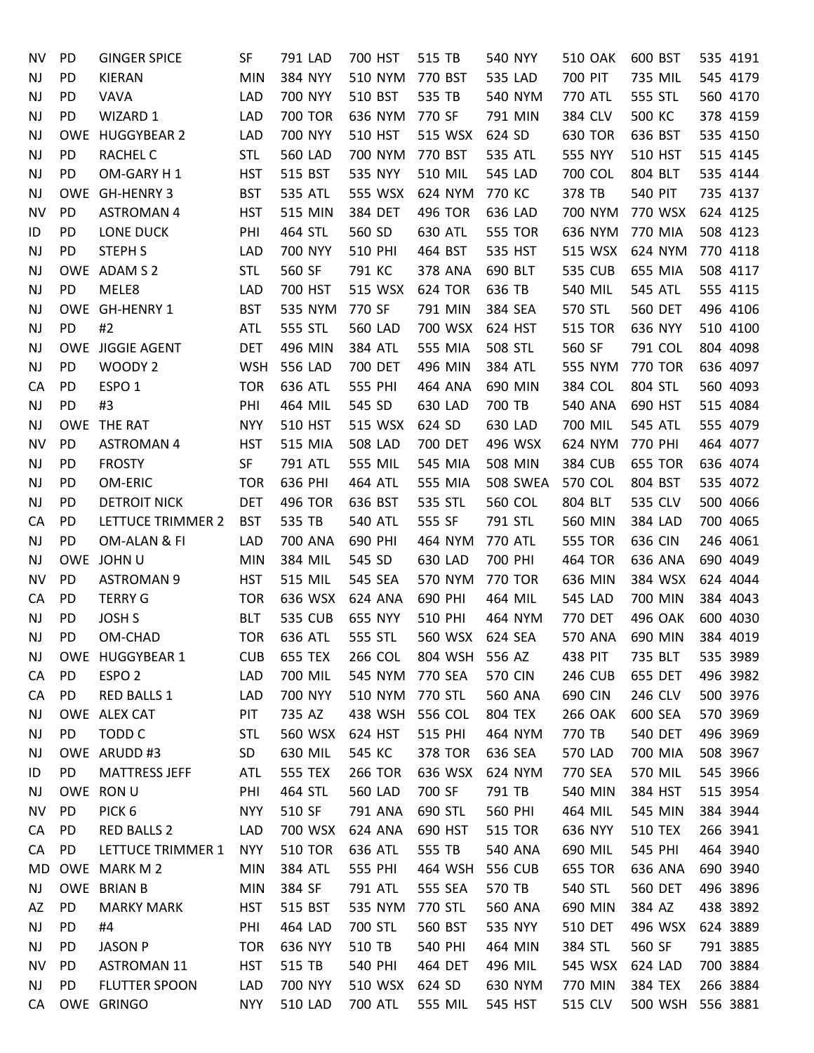| NV        | PD  | <b>GINGER SPICE</b>  | SF         | 791 LAD        | 700 HST        | 515 TB             | 540 NYY                   | <b>510 OAK</b>     | 600 BST          | 535 4191 |
|-----------|-----|----------------------|------------|----------------|----------------|--------------------|---------------------------|--------------------|------------------|----------|
| NJ        | PD  | <b>KIERAN</b>        | <b>MIN</b> | 384 NYY        | 510 NYM        | 770 BST            | 535 LAD                   | 700 PIT            | 735 MIL          | 545 4179 |
| NJ        | PD  | VAVA                 | LAD        | 700 NYY        | 510 BST        | 535 TB             | 540 NYM                   | 770 ATL            | 555 STL          | 560 4170 |
| NJ        | PD  | WIZARD 1             | LAD        | <b>700 TOR</b> | 636 NYM        | 770 SF             | 791 MIN                   | 384 CLV            | 500 KC           | 378 4159 |
| NJ        |     | OWE HUGGYBEAR 2      | LAD        | 700 NYY        | 510 HST        | 515 WSX            | 624 SD                    | <b>630 TOR</b>     | 636 BST          | 535 4150 |
| NJ        | PD  | <b>RACHEL C</b>      | <b>STL</b> | <b>560 LAD</b> | 700 NYM        | 770 BST            | 535 ATL                   | 555 NYY            | 510 HST          | 515 4145 |
|           | PD  |                      |            | 515 BST        | 535 NYY        | <b>510 MIL</b>     | 545 LAD                   | 700 COL            | 804 BLT          | 535 4144 |
| NJ        |     | OM-GARY H1           | <b>HST</b> | 535 ATL        |                |                    |                           |                    |                  | 735 4137 |
| NJ        | PD  | OWE GH-HENRY 3       | <b>BST</b> | 515 MIN        | 555 WSX        | 624 NYM<br>496 TOR | 770 KC                    | 378 TB             | <b>540 PIT</b>   |          |
| <b>NV</b> |     | <b>ASTROMAN 4</b>    | <b>HST</b> |                | 384 DET        |                    | 636 LAD<br><b>555 TOR</b> | 700 NYM<br>636 NYM | 770 WSX          | 624 4125 |
| ID        | PD  | LONE DUCK            | PHI        | 464 STL        | 560 SD         | 630 ATL            |                           |                    | 770 MIA          | 508 4123 |
| NJ        | PD  | <b>STEPH S</b>       | <b>LAD</b> | 700 NYY        | 510 PHI        | 464 BST            | 535 HST                   | 515 WSX            | 624 NYM          | 770 4118 |
| NJ        |     | OWE ADAM S 2         | <b>STL</b> | 560 SF         | 791 KC         | 378 ANA            | 690 BLT                   | 535 CUB            | 655 MIA          | 508 4117 |
| NJ        | PD  | MELE8                | LAD        | 700 HST        | 515 WSX        | <b>624 TOR</b>     | 636 TB                    | 540 MIL            | <b>545 ATL</b>   | 555 4115 |
| NJ        |     | OWE GH-HENRY 1       | <b>BST</b> | 535 NYM        | 770 SF         | 791 MIN            | 384 SEA                   | 570 STL            | <b>560 DET</b>   | 496 4106 |
| NJ        | PD  | #2                   | <b>ATL</b> | 555 STL        | <b>560 LAD</b> | 700 WSX            | 624 HST                   | <b>515 TOR</b>     | 636 NYY          | 510 4100 |
| NJ        |     | OWE JIGGIE AGENT     | <b>DET</b> | 496 MIN        | 384 ATL        | 555 MIA            | 508 STL                   | 560 SF             | 791 COL          | 804 4098 |
| NJ        | PD  | WOODY <sub>2</sub>   | <b>WSH</b> | 556 LAD        | 700 DET        | 496 MIN            | 384 ATL                   | 555 NYM            | <b>770 TOR</b>   | 636 4097 |
| CA        | PD  | ESPO <sub>1</sub>    | <b>TOR</b> | 636 ATL        | 555 PHI        | 464 ANA            | 690 MIN                   | 384 COL            | 804 STL          | 560 4093 |
| NJ        | PD  | #3                   | PHI        | 464 MIL        | 545 SD         | 630 LAD            | 700 TB                    | 540 ANA            | 690 HST          | 515 4084 |
| NJ        |     | OWE THE RAT          | <b>NYY</b> | 510 HST        | 515 WSX        | 624 SD             | 630 LAD                   | 700 MIL            | <b>545 ATL</b>   | 555 4079 |
| NV        | PD  | <b>ASTROMAN 4</b>    | <b>HST</b> | 515 MIA        | <b>508 LAD</b> | 700 DET            | 496 WSX                   | 624 NYM            | 770 PHI          | 464 4077 |
| NJ        | PD  | <b>FROSTY</b>        | SF         | 791 ATL        | 555 MIL        | 545 MIA            | 508 MIN                   | 384 CUB            | <b>655 TOR</b>   | 636 4074 |
| NJ        | PD  | OM-ERIC              | <b>TOR</b> | 636 PHI        | 464 ATL        | 555 MIA            | 508 SWEA                  | 570 COL            | 804 BST          | 535 4072 |
| NJ        | PD  | <b>DETROIT NICK</b>  | <b>DET</b> | 496 TOR        | 636 BST        | 535 STL            | 560 COL                   | 804 BLT            | 535 CLV          | 500 4066 |
| CA        | PD  | LETTUCE TRIMMER 2    | <b>BST</b> | 535 TB         | <b>540 ATL</b> | 555 SF             | 791 STL                   | 560 MIN            | 384 LAD          | 700 4065 |
| NJ        | PD  | OM-ALAN & FI         | LAD        | 700 ANA        | 690 PHI        | 464 NYM            | 770 ATL                   | <b>555 TOR</b>     | 636 CIN          | 246 4061 |
| NJ        |     | OWE JOHN U           | <b>MIN</b> | 384 MIL        | 545 SD         | 630 LAD            | 700 PHI                   | 464 TOR            | 636 ANA          | 690 4049 |
| NV        | PD  | <b>ASTROMAN 9</b>    | <b>HST</b> | 515 MIL        | 545 SEA        | 570 NYM            | 770 TOR                   | 636 MIN            | 384 WSX          | 624 4044 |
| CA        | PD  | <b>TERRY G</b>       | <b>TOR</b> | 636 WSX        | 624 ANA        | 690 PHI            | 464 MIL                   | 545 LAD            | 700 MIN          | 384 4043 |
| NJ        | PD  | <b>JOSH S</b>        | <b>BLT</b> | <b>535 CUB</b> | 655 NYY        | 510 PHI            | 464 NYM                   | 770 DET            | 496 OAK          | 600 4030 |
| NJ        | PD  | OM-CHAD              | <b>TOR</b> | 636 ATL        | 555 STL        | 560 WSX            | 624 SEA                   | <b>570 ANA</b>     | 690 MIN          | 384 4019 |
| NJ.       |     | OWE HUGGYBEAR 1      | <b>CUB</b> | 655 TEX        | 266 COL        | 804 WSH            | 556 AZ                    | 438 PIT            | 735 BLT          | 535 3989 |
| СA        | PD  | ESPO <sub>2</sub>    | LAD        | 700 MIL        | 545 NYM        | 770 SEA            | <b>570 CIN</b>            | <b>246 CUB</b>     | 655 DET          | 496 3982 |
| CA        | PD  | RED BALLS 1          | LAD        | 700 NYY        | 510 NYM        | 770 STL            | 560 ANA                   | 690 CIN            | 246 CLV          | 500 3976 |
| NJ        |     | OWE ALEX CAT         | PIT        | 735 AZ         | 438 WSH        | 556 COL            | 804 TEX                   | <b>266 OAK</b>     | 600 SEA          | 570 3969 |
| <b>NJ</b> | PD  | TODD C               | <b>STL</b> | 560 WSX        | 624 HST        | 515 PHI            | 464 NYM                   | 770 TB             | <b>540 DET</b>   | 496 3969 |
| NJ        |     | OWE ARUDD #3         | SD         | 630 MIL        | 545 KC         | <b>378 TOR</b>     | 636 SEA                   | <b>570 LAD</b>     | 700 MIA          | 508 3967 |
| ID        | PD  | <b>MATTRESS JEFF</b> | ATL        | 555 TEX        | <b>266 TOR</b> | 636 WSX            | 624 NYM                   | 770 SEA            | 570 MIL          | 545 3966 |
| NJ.       |     | OWE RON U            | PHI        | 464 STL        | <b>560 LAD</b> | 700 SF             | 791 TB                    | 540 MIN            | 384 HST          | 515 3954 |
| NV        | PD  | PICK <sub>6</sub>    | <b>NYY</b> | 510 SF         | 791 ANA        | 690 STL            | 560 PHI                   | 464 MIL            | 545 MIN          | 384 3944 |
| CA        | PD. | <b>RED BALLS 2</b>   | LAD        | 700 WSX        | 624 ANA        | 690 HST            | <b>515 TOR</b>            | 636 NYY            | <b>510 TEX</b>   | 266 3941 |
| CA        | PD  | LETTUCE TRIMMER 1    | <b>NYY</b> | <b>510 TOR</b> | 636 ATL        | 555 TB             | 540 ANA                   | 690 MIL            | 545 PHI          | 464 3940 |
| MD        |     | OWE MARK M 2         | <b>MIN</b> | 384 ATL        | 555 PHI        | 464 WSH            | 556 CUB                   | <b>655 TOR</b>     | 636 ANA          | 690 3940 |
| NJ        |     | OWE BRIAN B          | <b>MIN</b> | 384 SF         | 791 ATL        | 555 SEA            | 570 TB                    | 540 STL            | <b>560 DET</b>   | 496 3896 |
| AZ        | PD  | <b>MARKY MARK</b>    | <b>HST</b> | 515 BST        | 535 NYM        | 770 STL            | 560 ANA                   | 690 MIN            | 384 AZ           | 438 3892 |
| NJ        | PD  | #4                   | PHI        | 464 LAD        | 700 STL        | 560 BST            | 535 NYY                   | <b>510 DET</b>     | 496 WSX          | 624 3889 |
| NJ        | PD  | <b>JASON P</b>       | <b>TOR</b> | 636 NYY        | 510 TB         | 540 PHI            | 464 MIN                   | 384 STL            | 560 SF           | 791 3885 |
| NV        | PD  | <b>ASTROMAN 11</b>   | <b>HST</b> | 515 TB         | 540 PHI        | 464 DET            | 496 MIL                   | 545 WSX            | 624 LAD          | 700 3884 |
| NJ        | PD  | <b>FLUTTER SPOON</b> | LAD        | 700 NYY        | 510 WSX        | 624 SD             | 630 NYM                   | 770 MIN            | <b>384 TEX</b>   | 266 3884 |
| CA        |     | OWE GRINGO           | <b>NYY</b> | <b>510 LAD</b> | 700 ATL        | 555 MIL            | 545 HST                   | 515 CLV            | 500 WSH 556 3881 |          |